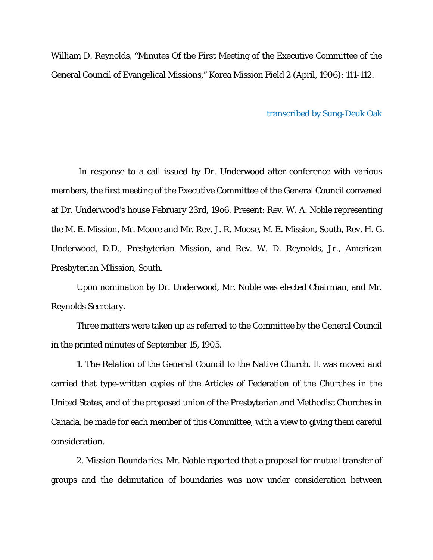William D. Reynolds, "Minutes Of the First Meeting of the Executive Committee of the General Council of Evangelical Missions," Korea Mission Field 2 (April, 1906): 111-112.

transcribed by Sung-Deuk Oak

 In response to a call issued by Dr. Underwood after conference with various members, the first meeting of the Executive Committee of the General Council convened at Dr. Underwood's house February 23rd, 19o6. Present: Rev. W. A. Noble representing the M. E. Mission, Mr. Moore and Mr. Rev. J. R. Moose, M. E. Mission, South, Rev. H. G. Underwood, D.D., Presbyterian Mission, and Rev. W. D. Reynolds, Jr., American Presbyterian M1ission, South.

Upon nomination by Dr. Underwood, Mr. Noble was elected Chairman, and Mr. Reynolds Secretary.

Three matters were taken up as referred to the Committee by the General Council in the printed minutes of September 15, 1905.

1. *The Relation of the General Council to the Native Church*. It was moved and carried that type-written copies of the Articles of Federation of the Churches in the United States, and of the proposed union of the Presbyterian and Methodist Churches in Canada, be made for each member of this Committee, with a view to giving them careful consideration.

2. *Mission Boundaries*. Mr. Noble reported that a proposal for mutual transfer of groups and the delimitation of boundaries was now under consideration between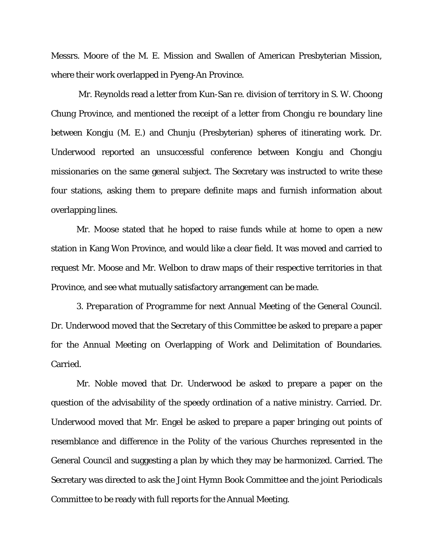Messrs. Moore of the M. E. Mission and Swallen of American Presbyterian Mission, where their work overlapped in Pyeng-An Province.

 Mr. Reynolds read a letter from Kun-San *re*. division of territory in S. W. Choong Chung Province, and mentioned the receipt of a letter from Chongju *re* boundary line between Kongju (M. E.) and Chunju (Presbyterian) spheres of itinerating work. Dr. Underwood reported an unsuccessful conference between Kongju and Chongju missionaries on the same general subject. The Secretary was instructed to write these four stations, asking them to prepare definite maps and furnish information about overlapping lines.

Mr. Moose stated that he hoped to raise funds while at home to open a new station in Kang Won Province, and would like a clear field. It was moved and carried to request Mr. Moose and Mr. Welbon to draw maps of their respective territories in that Province, and see what mutually satisfactory arrangement can be made.

3. *Preparation of Programme for next Annual Meeting of the General Council*. Dr. Underwood moved that the Secretary of this Committee be asked to prepare a paper for the Annual Meeting on Overlapping of Work and Delimitation of Boundaries. Carried.

Mr. Noble moved that Dr. Underwood be asked to prepare a paper on the question of the advisability of the speedy ordination of a native ministry. Carried. Dr. Underwood moved that Mr. Engel be asked to prepare a paper bringing out points of resemblance and difference in the Polity of the various Churches represented in the General Council and suggesting a plan by which they may be harmonized. Carried. The Secretary was directed to ask the Joint Hymn Book Committee and the joint Periodicals Committee to be ready with full reports for the Annual Meeting.